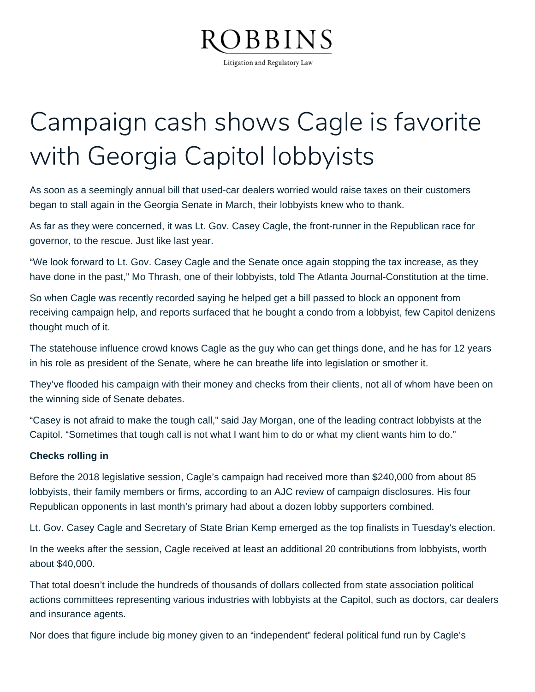# BBINS

Litigation and Regulatory Law

## Campaign cash shows Cagle is favorite with Georgia Capitol lobbyists

As soon as a seemingly annual bill that used-car dealers worried would raise taxes on their customers began to stall again in the Georgia Senate in March, their lobbyists knew who to thank.

As far as they were concerned, it was Lt. Gov. Casey Cagle, the front-runner in the Republican race for governor, to the rescue. Just like last year.

"We look forward to Lt. Gov. Casey Cagle and the Senate once again stopping the tax increase, as they have done in the past," Mo Thrash, one of their lobbyists, told The Atlanta Journal-Constitution at the time.

So when Cagle was recently recorded saying he helped get a bill passed to block an opponent from receiving campaign help, and reports surfaced that he bought a condo from a lobbyist, few Capitol denizens thought much of it.

The statehouse influence crowd knows Cagle as the guy who can get things done, and he has for 12 years in his role as president of the Senate, where he can breathe life into legislation or smother it.

They've flooded his campaign with their money and checks from their clients, not all of whom have been on the winning side of Senate debates.

"Casey is not afraid to make the tough call," said Jay Morgan, one of the leading contract lobbyists at the Capitol. "Sometimes that tough call is not what I want him to do or what my client wants him to do."

### **Checks rolling in**

Before the 2018 legislative session, Cagle's campaign had received more than \$240,000 from about 85 lobbyists, their family members or firms, according to an AJC review of campaign disclosures. His four Republican opponents in last month's primary had about a dozen lobby supporters combined.

Lt. Gov. Casey Cagle and Secretary of State Brian Kemp emerged as the top finalists in Tuesday's election.

In the weeks after the session, Cagle received at least an additional 20 contributions from lobbyists, worth about \$40,000.

That total doesn't include the hundreds of thousands of dollars collected from state association political actions committees representing various industries with lobbyists at the Capitol, such as doctors, car dealers and insurance agents.

Nor does that figure include big money given to an "independent" federal political fund run by Cagle's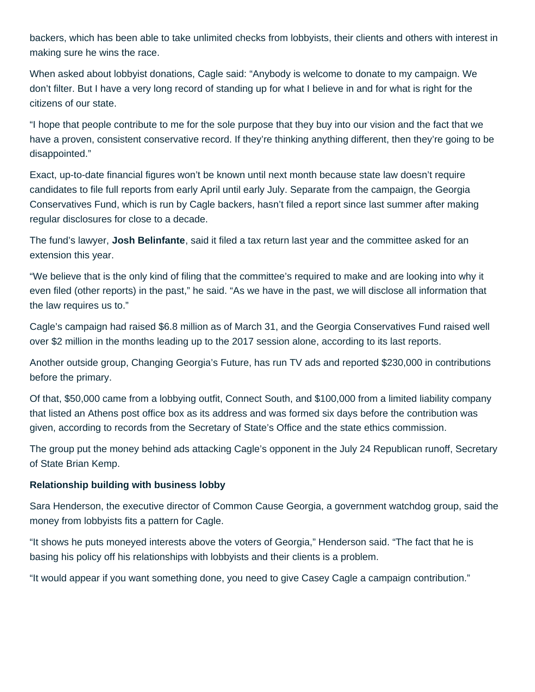backers, which has been able to take unlimited checks from lobbyists, their clients and others with interest in making sure he wins the race.

When asked about lobbyist donations, Cagle said: "Anybody is welcome to donate to my campaign. We don't filter. But I have a very long record of standing up for what I believe in and for what is right for the citizens of our state.

"I hope that people contribute to me for the sole purpose that they buy into our vision and the fact that we have a proven, consistent conservative record. If they're thinking anything different, then they're going to be disappointed."

Exact, up-to-date financial figures won't be known until next month because state law doesn't require candidates to file full reports from early April until early July. Separate from the campaign, the Georgia Conservatives Fund, which is run by Cagle backers, hasn't filed a report since last summer after making regular disclosures for close to a decade.

The fund's lawyer, **Josh Belinfante**, said it filed a tax return last year and the committee asked for an extension this year.

"We believe that is the only kind of filing that the committee's required to make and are looking into why it even filed (other reports) in the past," he said. "As we have in the past, we will disclose all information that the law requires us to."

Cagle's campaign had raised \$6.8 million as of March 31, and the Georgia Conservatives Fund raised well over \$2 million in the months leading up to the 2017 session alone, according to its last reports.

Another outside group, Changing Georgia's Future, has run TV ads and reported \$230,000 in contributions before the primary.

Of that, \$50,000 came from a lobbying outfit, Connect South, and \$100,000 from a limited liability company that listed an Athens post office box as its address and was formed six days before the contribution was given, according to records from the Secretary of State's Office and the state ethics commission.

The group put the money behind ads attacking Cagle's opponent in the July 24 Republican runoff, Secretary of State Brian Kemp.

### **Relationship building with business lobby**

Sara Henderson, the executive director of Common Cause Georgia, a government watchdog group, said the money from lobbyists fits a pattern for Cagle.

"It shows he puts moneyed interests above the voters of Georgia," Henderson said. "The fact that he is basing his policy off his relationships with lobbyists and their clients is a problem.

"It would appear if you want something done, you need to give Casey Cagle a campaign contribution."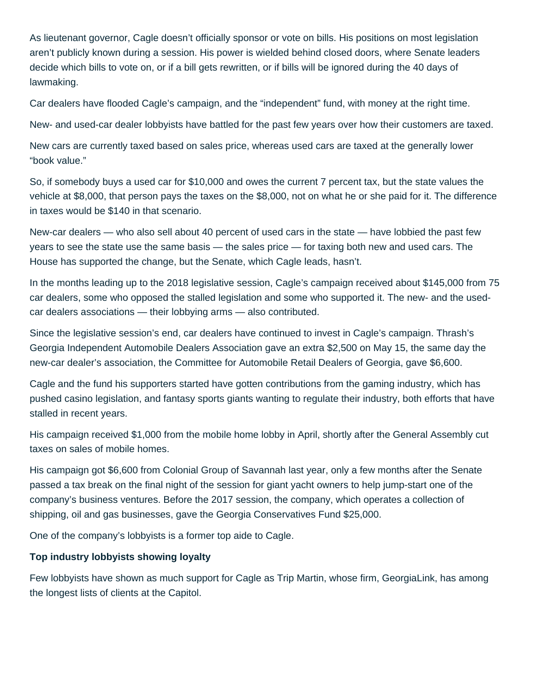As lieutenant governor, Cagle doesn't officially sponsor or vote on bills. His positions on most legislation aren't publicly known during a session. His power is wielded behind closed doors, where Senate leaders decide which bills to vote on, or if a bill gets rewritten, or if bills will be ignored during the 40 days of lawmaking.

Car dealers have flooded Cagle's campaign, and the "independent" fund, with money at the right time.

New- and used-car dealer lobbyists have battled for the past few years over how their customers are taxed.

New cars are currently taxed based on sales price, whereas used cars are taxed at the generally lower "book value."

So, if somebody buys a used car for \$10,000 and owes the current 7 percent tax, but the state values the vehicle at \$8,000, that person pays the taxes on the \$8,000, not on what he or she paid for it. The difference in taxes would be \$140 in that scenario.

New-car dealers — who also sell about 40 percent of used cars in the state — have lobbied the past few years to see the state use the same basis — the sales price — for taxing both new and used cars. The House has supported the change, but the Senate, which Cagle leads, hasn't.

In the months leading up to the 2018 legislative session, Cagle's campaign received about \$145,000 from 75 car dealers, some who opposed the stalled legislation and some who supported it. The new- and the usedcar dealers associations — their lobbying arms — also contributed.

Since the legislative session's end, car dealers have continued to invest in Cagle's campaign. Thrash's Georgia Independent Automobile Dealers Association gave an extra \$2,500 on May 15, the same day the new-car dealer's association, the Committee for Automobile Retail Dealers of Georgia, gave \$6,600.

Cagle and the fund his supporters started have gotten contributions from the gaming industry, which has pushed casino legislation, and fantasy sports giants wanting to regulate their industry, both efforts that have stalled in recent years.

His campaign received \$1,000 from the mobile home lobby in April, shortly after the General Assembly cut taxes on sales of mobile homes.

His campaign got \$6,600 from Colonial Group of Savannah last year, only a few months after the Senate passed a tax break on the final night of the session for giant yacht owners to help jump-start one of the company's business ventures. Before the 2017 session, the company, which operates a collection of shipping, oil and gas businesses, gave the Georgia Conservatives Fund \$25,000.

One of the company's lobbyists is a former top aide to Cagle.

### **Top industry lobbyists showing loyalty**

Few lobbyists have shown as much support for Cagle as Trip Martin, whose firm, GeorgiaLink, has among the longest lists of clients at the Capitol.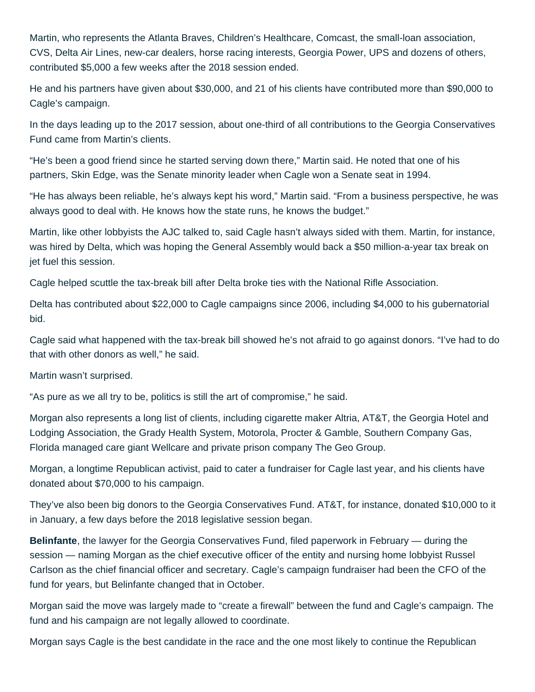Martin, who represents the Atlanta Braves, Children's Healthcare, Comcast, the small-loan association, CVS, Delta Air Lines, new-car dealers, horse racing interests, Georgia Power, UPS and dozens of others, contributed \$5,000 a few weeks after the 2018 session ended.

He and his partners have given about \$30,000, and 21 of his clients have contributed more than \$90,000 to Cagle's campaign.

In the days leading up to the 2017 session, about one-third of all contributions to the Georgia Conservatives Fund came from Martin's clients.

"He's been a good friend since he started serving down there," Martin said. He noted that one of his partners, Skin Edge, was the Senate minority leader when Cagle won a Senate seat in 1994.

"He has always been reliable, he's always kept his word," Martin said. "From a business perspective, he was always good to deal with. He knows how the state runs, he knows the budget."

Martin, like other lobbyists the AJC talked to, said Cagle hasn't always sided with them. Martin, for instance, was hired by Delta, which was hoping the General Assembly would back a \$50 million-a-year tax break on jet fuel this session.

Cagle helped scuttle the tax-break bill after Delta broke ties with the National Rifle Association.

Delta has contributed about \$22,000 to Cagle campaigns since 2006, including \$4,000 to his gubernatorial bid.

Cagle said what happened with the tax-break bill showed he's not afraid to go against donors. "I've had to do that with other donors as well," he said.

Martin wasn't surprised.

"As pure as we all try to be, politics is still the art of compromise," he said.

Morgan also represents a long list of clients, including cigarette maker Altria, AT&T, the Georgia Hotel and Lodging Association, the Grady Health System, Motorola, Procter & Gamble, Southern Company Gas, Florida managed care giant Wellcare and private prison company The Geo Group.

Morgan, a longtime Republican activist, paid to cater a fundraiser for Cagle last year, and his clients have donated about \$70,000 to his campaign.

They've also been big donors to the Georgia Conservatives Fund. AT&T, for instance, donated \$10,000 to it in January, a few days before the 2018 legislative session began.

**Belinfante**, the lawyer for the Georgia Conservatives Fund, filed paperwork in February — during the session — naming Morgan as the chief executive officer of the entity and nursing home lobbyist Russel Carlson as the chief financial officer and secretary. Cagle's campaign fundraiser had been the CFO of the fund for years, but Belinfante changed that in October.

Morgan said the move was largely made to "create a firewall" between the fund and Cagle's campaign. The fund and his campaign are not legally allowed to coordinate.

Morgan says Cagle is the best candidate in the race and the one most likely to continue the Republican